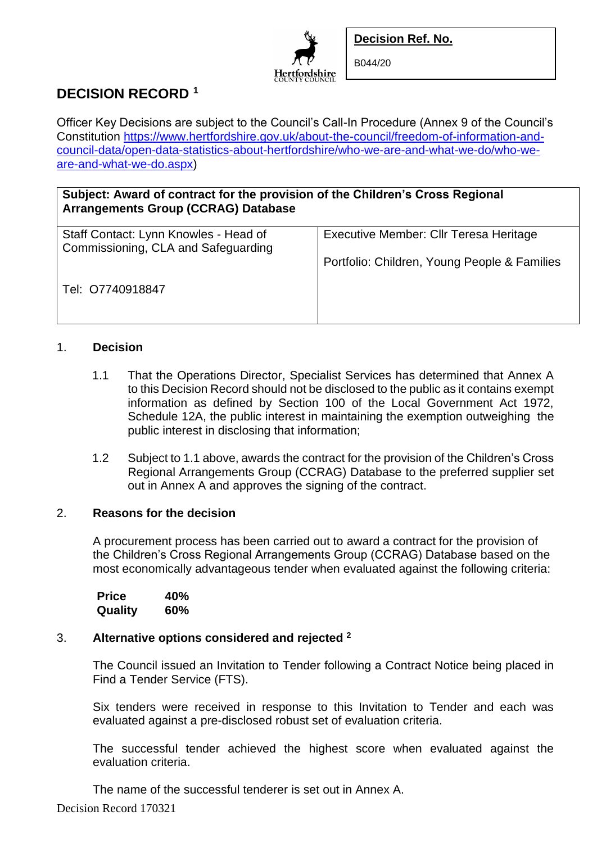

B044/20

# **DECISION RECORD <sup>1</sup>**

Officer Key Decisions are subject to the Council's Call-In Procedure (Annex 9 of the Council's Constitution [https://www.hertfordshire.gov.uk/about-the-council/freedom-of-information-and](https://www.hertfordshire.gov.uk/about-the-council/freedom-of-information-and-council-data/open-data-statistics-about-hertfordshire/who-we-are-and-what-we-do/who-we-are-and-what-we-do.aspx)[council-data/open-data-statistics-about-hertfordshire/who-we-are-and-what-we-do/who-we](https://www.hertfordshire.gov.uk/about-the-council/freedom-of-information-and-council-data/open-data-statistics-about-hertfordshire/who-we-are-and-what-we-do/who-we-are-and-what-we-do.aspx)[are-and-what-we-do.aspx\)](https://www.hertfordshire.gov.uk/about-the-council/freedom-of-information-and-council-data/open-data-statistics-about-hertfordshire/who-we-are-and-what-we-do/who-we-are-and-what-we-do.aspx)

Hertfordshire

**Subject: Award of contract for the provision of the Children's Cross Regional Arrangements Group (CCRAG) Database**

| Staff Contact: Lynn Knowles - Head of | Executive Member: Cllr Teresa Heritage       |
|---------------------------------------|----------------------------------------------|
| Commissioning, CLA and Safeguarding   |                                              |
|                                       | Portfolio: Children, Young People & Families |
|                                       |                                              |
| Tel: 07740918847                      |                                              |
|                                       |                                              |
|                                       |                                              |
|                                       |                                              |

## 1. **Decision**

- 1.1 That the Operations Director, Specialist Services has determined that Annex A to this Decision Record should not be disclosed to the public as it contains exempt information as defined by Section 100 of the Local Government Act 1972, Schedule 12A, the public interest in maintaining the exemption outweighing the public interest in disclosing that information;
- 1.2 Subject to 1.1 above, awards the contract for the provision of the Children's Cross Regional Arrangements Group (CCRAG) Database to the preferred supplier set out in Annex A and approves the signing of the contract.

#### 2. **Reasons for the decision**

A procurement process has been carried out to award a contract for the provision of the Children's Cross Regional Arrangements Group (CCRAG) Database based on the most economically advantageous tender when evaluated against the following criteria:

| <b>Price</b> | 40%        |
|--------------|------------|
| Quality      | <b>60%</b> |

## 3. **Alternative options considered and rejected <sup>2</sup>**

The Council issued an Invitation to Tender following a Contract Notice being placed in Find a Tender Service (FTS).

Six tenders were received in response to this Invitation to Tender and each was evaluated against a pre-disclosed robust set of evaluation criteria.

The successful tender achieved the highest score when evaluated against the evaluation criteria.

The name of the successful tenderer is set out in Annex A.